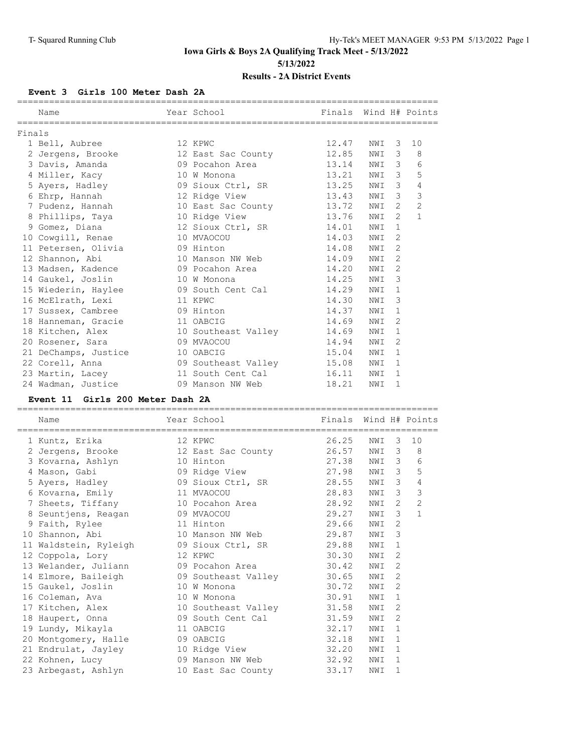## **Event 3 Girls 100 Meter Dash 2A**

|        | Name                 | Year School               | Finals Wind H# Points |     |               |                |
|--------|----------------------|---------------------------|-----------------------|-----|---------------|----------------|
| Finals |                      |                           |                       |     |               |                |
|        | 1 Bell, Aubree       | 12 KPWC                   | 12.47                 | NWI | 3             | 10             |
|        | 2 Jergens, Brooke    | 12 East Sac County        | 12.85                 | NWI | 3             | 8              |
|        | 3 Davis, Amanda      | 09 Pocahon Area           | 13.14                 | NWI | 3             | 6              |
|        | 4 Miller, Kacy       | 10 W Monona               | 13.21                 | NWI | 3             | 5              |
|        | 5 Ayers, Hadley      | 09 Sioux Ctrl, SR 13.25   |                       | NWI | 3             | 4              |
|        | 6 Ehrp, Hannah       | 12 Ridge View             | 13.43                 | NWI | 3             | 3              |
|        | 7 Pudenz, Hannah     | 10 East Sac County 13.72  |                       | NWI | 2             | $\overline{2}$ |
|        | 8 Phillips, Taya     | 10 Ridge View<br>13.76    |                       | NWI | $\mathcal{L}$ | $\mathbf{1}$   |
|        | 9 Gomez, Diana       | 12 Sioux Ctrl, SR 14.01   |                       | NWI | 1             |                |
|        | 10 Cowgill, Renae    | 10 MVAOCOU                | 14.03                 | NWI | 2             |                |
|        | 11 Petersen, Olivia  | 09 Hinton                 | 14.08                 | NWI | 2             |                |
|        | 12 Shannon, Abi      | 10 Manson NW Web 14.09    |                       | NWI | $\mathcal{D}$ |                |
|        | 13 Madsen, Kadence   | 09 Pocahon Area           | 14.20                 | NWI | 2             |                |
|        | 14 Gaukel, Joslin    | 10 W Monona               | 14.25                 | NWI | 3             |                |
|        | 15 Wiederin, Haylee  | 09 South Cent Cal 14.29   |                       | NWI | 1             |                |
|        | 16 McElrath, Lexi    | 11 KPWC                   | 14.30                 | NWI | 3             |                |
|        | 17 Sussex, Cambree   | 09 Hinton                 | 14.37                 | NWI | 1             |                |
|        | 18 Hanneman, Gracie  | 11 OABCIG                 | 14.69                 | NWI | 2             |                |
|        | 18 Kitchen, Alex     | 10 Southeast Valley       | 14.69                 | NWI | 1             |                |
|        | 20 Rosener, Sara     | 09 MVAOCOU                | 14.94                 | NWI | 2             |                |
|        | 21 DeChamps, Justice | 10 OABCIG                 | 15.04                 | NWI | 1             |                |
|        | 22 Corell, Anna      | 09 Southeast Valley 15.08 |                       | NWI | 1             |                |
|        | 23 Martin, Lacey     | 11 South Cent Cal         | 16.11                 | NWI | 1             |                |
|        | 24 Wadman, Justice   | 09 Manson NW Web 2008     | 18.21                 | NWI | 1             |                |

#### **Event 11 Girls 200 Meter Dash 2A**

| Name                  | Year School         | Finals Wind H# Points |     |                |                |
|-----------------------|---------------------|-----------------------|-----|----------------|----------------|
| 1 Kuntz, Erika        | 12 KPWC             | 26.25                 | NWI | $\overline{3}$ | 10             |
| 2 Jergens, Brooke     | 12 East Sac County  | 26.57                 | NWI | 3              | 8              |
| 3 Kovarna, Ashlyn     | 10 Hinton           | 27.38                 | NWI | 3              | 6              |
| 4 Mason, Gabi         | 09 Ridge View       | 27.98                 | NWI | 3              | 5              |
| 5 Ayers, Hadley       | 09 Sioux Ctrl, SR   | 28.55                 | NWI | 3              | 4              |
| 6 Kovarna, Emily      | 11 MVAOCOU          | 28.83                 | NWI | 3              | $\mathcal{S}$  |
| 7 Sheets, Tiffany     | 10 Pocahon Area     | 28.92                 | NWI | 2              | $\overline{2}$ |
| 8 Seuntjens, Reagan   | 09 MVAOCOU          | 29.27                 | NWI | 3              | $\mathbf{1}$   |
| 9 Faith, Rylee        | 11 Hinton           | 29.66                 | NWI | $\overline{2}$ |                |
| 10 Shannon, Abi       | 10 Manson NW Web    | 29.87                 | NWI | 3              |                |
| 11 Waldstein, Ryleigh | 09 Sioux Ctrl, SR   | 29.88                 | NWI | $\mathbf{1}$   |                |
| 12 Coppola, Lory      | 12 KPWC             | 30.30                 | NWI | 2              |                |
| 13 Welander, Juliann  | 09 Pocahon Area     | 30.42                 | NWI | $\overline{2}$ |                |
| 14 Elmore, Baileigh   | 09 Southeast Valley | 30.65                 | NWI | 2              |                |
| 15 Gaukel, Joslin     | 10 W Monona         | 30.72                 | NWI | 2              |                |
| 16 Coleman, Ava       | 10 W Monona         | 30.91                 | NWI | 1              |                |
| 17 Kitchen, Alex      | 10 Southeast Valley | 31.58                 | NWI | 2              |                |
| 18 Haupert, Onna      | 09 South Cent Cal   | 31.59                 | NWI | 2              |                |
| 19 Lundy, Mikayla     | 11 OABCIG           | 32.17                 | NWI | 1              |                |
| 20 Montgomery, Halle  | 09 OABCIG           | 32.18                 | NWI | 1              |                |
| 21 Endrulat, Jayley   | 10 Ridge View       | 32.20                 | NWI | $\mathbf{1}$   |                |
| 22 Kohnen, Lucy       | 09 Manson NW Web    | 32.92                 | NWI | 1              |                |
| 23 Arbegast, Ashlyn   | 10 East Sac County  | 33.17                 | NWI | 1              |                |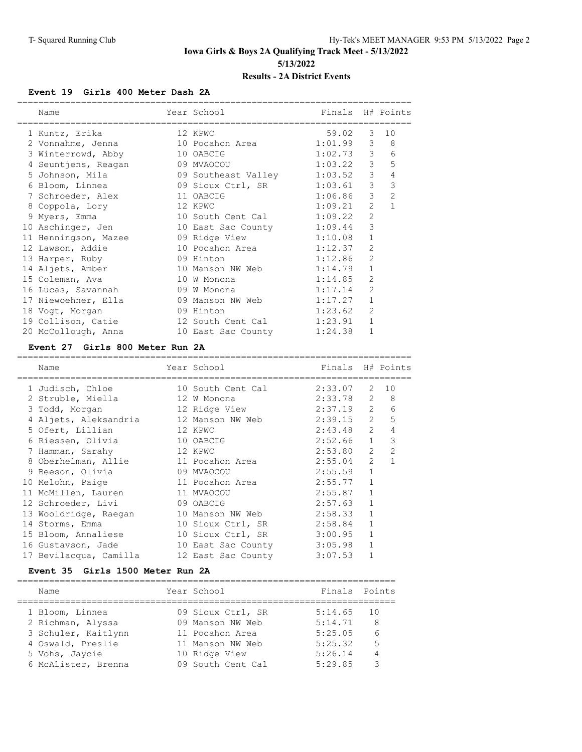#### **Event 19 Girls 400 Meter Dash 2A**

| Name |                                                                                                                                                                                                                                                                                          |                                                                                                                             |                                                                                                                                                                                                                                                                |                                                                                       |                                                                                                                                                                    |
|------|------------------------------------------------------------------------------------------------------------------------------------------------------------------------------------------------------------------------------------------------------------------------------------------|-----------------------------------------------------------------------------------------------------------------------------|----------------------------------------------------------------------------------------------------------------------------------------------------------------------------------------------------------------------------------------------------------------|---------------------------------------------------------------------------------------|--------------------------------------------------------------------------------------------------------------------------------------------------------------------|
|      |                                                                                                                                                                                                                                                                                          |                                                                                                                             |                                                                                                                                                                                                                                                                | $\mathcal{S}$                                                                         | 10                                                                                                                                                                 |
|      |                                                                                                                                                                                                                                                                                          |                                                                                                                             |                                                                                                                                                                                                                                                                | 3                                                                                     | 8                                                                                                                                                                  |
|      |                                                                                                                                                                                                                                                                                          |                                                                                                                             |                                                                                                                                                                                                                                                                | $\mathcal{S}$                                                                         | 6                                                                                                                                                                  |
|      |                                                                                                                                                                                                                                                                                          |                                                                                                                             |                                                                                                                                                                                                                                                                | 3 <sup>7</sup>                                                                        | 5                                                                                                                                                                  |
|      |                                                                                                                                                                                                                                                                                          |                                                                                                                             |                                                                                                                                                                                                                                                                | 3                                                                                     | $\overline{4}$                                                                                                                                                     |
|      |                                                                                                                                                                                                                                                                                          |                                                                                                                             |                                                                                                                                                                                                                                                                | 3                                                                                     | 3                                                                                                                                                                  |
|      |                                                                                                                                                                                                                                                                                          |                                                                                                                             |                                                                                                                                                                                                                                                                | 3                                                                                     | $\overline{2}$                                                                                                                                                     |
|      |                                                                                                                                                                                                                                                                                          |                                                                                                                             |                                                                                                                                                                                                                                                                | $\overline{2}$                                                                        | $\mathbf{1}$                                                                                                                                                       |
|      |                                                                                                                                                                                                                                                                                          |                                                                                                                             |                                                                                                                                                                                                                                                                | $\overline{2}$                                                                        |                                                                                                                                                                    |
|      |                                                                                                                                                                                                                                                                                          |                                                                                                                             |                                                                                                                                                                                                                                                                | 3                                                                                     |                                                                                                                                                                    |
|      |                                                                                                                                                                                                                                                                                          |                                                                                                                             |                                                                                                                                                                                                                                                                | $\mathbf{1}$                                                                          |                                                                                                                                                                    |
|      |                                                                                                                                                                                                                                                                                          |                                                                                                                             |                                                                                                                                                                                                                                                                | $\overline{2}$                                                                        |                                                                                                                                                                    |
|      |                                                                                                                                                                                                                                                                                          |                                                                                                                             | 1:12.86                                                                                                                                                                                                                                                        | $\overline{2}$                                                                        |                                                                                                                                                                    |
|      |                                                                                                                                                                                                                                                                                          |                                                                                                                             | 1:14.79                                                                                                                                                                                                                                                        | $\mathbf{1}$                                                                          |                                                                                                                                                                    |
|      |                                                                                                                                                                                                                                                                                          |                                                                                                                             |                                                                                                                                                                                                                                                                | $\overline{2}$                                                                        |                                                                                                                                                                    |
|      |                                                                                                                                                                                                                                                                                          |                                                                                                                             | 1:17.14                                                                                                                                                                                                                                                        | $\overline{2}$                                                                        |                                                                                                                                                                    |
|      |                                                                                                                                                                                                                                                                                          |                                                                                                                             | 1:17.27                                                                                                                                                                                                                                                        | $\mathbf{1}$                                                                          |                                                                                                                                                                    |
|      |                                                                                                                                                                                                                                                                                          |                                                                                                                             | 1:23.62                                                                                                                                                                                                                                                        | $\overline{2}$                                                                        |                                                                                                                                                                    |
|      |                                                                                                                                                                                                                                                                                          |                                                                                                                             | 1:23.91                                                                                                                                                                                                                                                        | $\mathbf{1}$                                                                          |                                                                                                                                                                    |
|      |                                                                                                                                                                                                                                                                                          |                                                                                                                             | 1:24.38                                                                                                                                                                                                                                                        | 1                                                                                     |                                                                                                                                                                    |
|      | 1 Kuntz, Erika<br>2 Vonnahme, Jenna<br>3 Winterrowd, Abby<br>7 Schroeder, Alex<br>8 Coppola, Lory<br>9 Myers, Emma<br>10 Aschinger, Jen<br>13 Harper, Ruby<br>14 Aljets, Amber<br>15 Coleman, Ava<br>16 Lucas, Savannah<br>17 Niewoehner, Ella<br>18 Voqt, Morgan<br>20 McCollough, Anna | 4 Seuntjens, Reagan<br>5 Johnson, Mila<br>6 Bloom, Linnea<br>11 Henningson, Mazee<br>12 Lawson, Addie<br>19 Collison, Catie | Year School<br>12 KPWC<br>10 Pocahon Area<br>10 OABCIG<br>09 MVAOCOU<br>09 Southeast Valley<br>11 OABCIG<br>12 KPWC<br>09 Hinton<br>10 Manson NW Web<br>10 W Monona<br>09 W Monona<br>09 Manson NW Web<br>09 Hinton<br>12 South Cent Cal<br>10 East Sac County | 09 Sioux Ctrl, SR<br>10 South Cent Cal<br>10 East Sac County 1:09.44<br>09 Ridge View | Finals H# Points<br>59.02<br>1:01.99<br>1:02.73<br>1:03.22<br>1:03.52<br>1:03.61<br>1:06.86<br>1:09.21<br>1:09.22<br>1:10.08<br>10 Pocahon Area 1:12.37<br>1:14.85 |

#### **Event 27 Girls 800 Meter Run 2A**

## ========================================================================== Year School **Finals** H# Points ========================================================================== 1 Judisch, Chloe 10 South Cent Cal 2:33.07 2 10 2 Struble, Miella 12 W Monona 2:33.78 2 8 3 Todd, Morgan 12 Ridge View 2:37.19 2 6 4 Aljets, Aleksandria 12 Manson NW Web 2:39.15 2 5 5 Ofert, Lillian 12 KPWC 2:43.48 2 4 6 Riessen, Olivia 10 OABCIG 2:52.66 1 3 7 Hamman, Sarahy 12 KPWC 2:53.80 2 2 8 Oberhelman, Allie 11 Pocahon Area 2:55.04 2 1 9 Beeson, Olivia 09 MVAOCOU 2:55.59 1 10 Melohn, Paige 11 Pocahon Area 2:55.77 1 11 McMillen, Lauren 11 MVAOCOU 2:55.87 1

| $E = 2E$ $Q = 1E(0)$ Materials $Q = 2$ |                    |             |              |
|----------------------------------------|--------------------|-------------|--------------|
| 17 Bevilacqua, Camilla                 | 12 East Sac County | 3:07.53     | 1            |
|                                        |                    |             |              |
| 16 Gustavson, Jade                     | 10 East Sac County | 3:05.98     | $\mathbf{1}$ |
| 15 Bloom, Annaliese                    | 10 Sioux Ctrl, SR  | 3:00.95     | $\mathbf{1}$ |
| 14 Storms, Emma                        | 10 Sioux Ctrl, SR  | 2:58.84     | 1            |
| 13 Wooldridge, Raegan                  | 10 Manson NW Web   | 2:58.33     | 1            |
| 12 Schroeder, Livi                     | 09 OABCIG          | 2:57.63     | 1            |
| 11 McMillen, Lauren                    | 11 MVAOCOU         | $2:55.87$ 1 |              |

#### **Event 35 Girls 1500 Meter Run 2A**

| Name                | Year School       | Finals Points |     |
|---------------------|-------------------|---------------|-----|
| 1 Bloom, Linnea     | 09 Sioux Ctrl, SR | 5:14.65       | 1 O |
| 2 Richman, Alyssa   | 09 Manson NW Web  | 5:14.71       | -8  |
| 3 Schuler, Kaitlynn | 11 Pocahon Area   | 5:25.05       | 6   |
| 4 Oswald, Preslie   | 11 Manson NW Web  | 5:25.32       | -5  |
| 5 Vohs, Jaycie      | 10 Ridge View     | 5:26.14       | 4   |
| 6 McAlister, Brenna | 09 South Cent Cal | 5:29.85       | ੨   |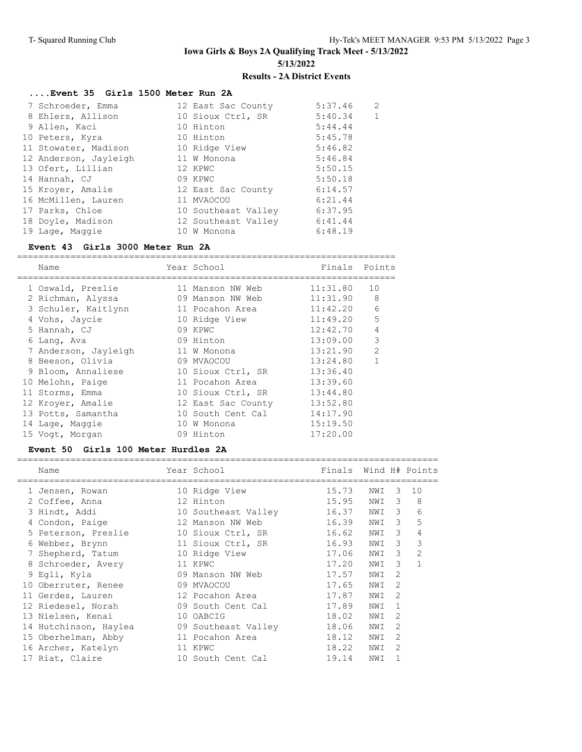===============================================================================

# **....Event 35 Girls 1500 Meter Run 2A**

| 7 Schroeder, Emma     | 12 East Sac County  | 5:37.46 | 2            |
|-----------------------|---------------------|---------|--------------|
| 8 Ehlers, Allison     | 10 Sioux Ctrl, SR   | 5:40.34 | $\mathbf{1}$ |
| 9 Allen, Kaci         | 10 Hinton           | 5:44.44 |              |
| 10 Peters, Kyra       | 10 Hinton           | 5:45.78 |              |
| 11 Stowater, Madison  | 10 Ridge View       | 5:46.82 |              |
| 12 Anderson, Jayleigh | 11 W Monona         | 5:46.84 |              |
| 13 Ofert, Lillian     | 12 KPWC             | 5:50.15 |              |
| 14 Hannah, CJ         | 09 KPWC             | 5:50.18 |              |
| 15 Kroyer, Amalie     | 12 East Sac County  | 6:14.57 |              |
| 16 McMillen, Lauren   | 11 MVAOCOU          | 6:21.44 |              |
| 17 Parks, Chloe       | 10 Southeast Valley | 6:37.95 |              |
| 18 Doyle, Madison     | 12 Southeast Valley | 6:41.44 |              |
| 19 Lage, Maggie       | 10 W Monona         | 6:48.19 |              |

## **Event 43 Girls 3000 Meter Run 2A**

| Name                 |    | Year School        | Finals   | Points         |
|----------------------|----|--------------------|----------|----------------|
| 1 Oswald, Preslie    |    | 11 Manson NW Web   | 11:31.80 | 10             |
| 2 Richman, Alyssa    |    | 09 Manson NW Web   | 11:31.90 | 8              |
| 3 Schuler, Kaitlynn  |    | 11 Pocahon Area    | 11:42.20 | 6              |
| 4 Vohs, Jaycie       |    | 10 Ridge View      | 11:49.20 | 5              |
| 5 Hannah, CJ         |    | 09 KPWC            | 12:42.70 | $\overline{4}$ |
| 6 Lang, Ava          |    | 09 Hinton          | 13:09.00 | 3              |
| 7 Anderson, Jayleigh |    | 11 W Monona        | 13:21.90 | $\overline{2}$ |
| 8 Beeson, Olivia     |    | 09 MVAOCOU         | 13:24.80 | 1              |
| 9 Bloom, Annaliese   |    | 10 Sioux Ctrl, SR  | 13:36.40 |                |
| 10 Melohn, Paige     |    | 11 Pocahon Area    | 13:39.60 |                |
| 11 Storms, Emma      |    | 10 Sioux Ctrl, SR  | 13:44.80 |                |
| 12 Kroyer, Amalie    |    | 12 East Sac County | 13:52.80 |                |
| 13 Potts, Samantha   |    | 10 South Cent Cal  | 14:17.90 |                |
| 14 Lage, Maggie      | 10 | W Monona           | 15:19.50 |                |
| 15 Voqt, Morgan      |    | 09 Hinton          | 17:20.00 |                |

## **Event 50 Girls 100 Meter Hurdles 2A**

| Name                  |    | Year School         | Finals Wind H# Points |     |                         |                |
|-----------------------|----|---------------------|-----------------------|-----|-------------------------|----------------|
| 1 Jensen, Rowan       |    | 10 Ridge View       | 15.73                 | NWI | $\overline{\mathbf{3}}$ | 10             |
| 2 Coffee, Anna        |    | 12 Hinton           | 15.95                 | NWI | 3                       | 8              |
| 3 Hindt, Addi         |    | 10 Southeast Valley | 16.37                 | NWI | 3                       | 6              |
| 4 Condon, Paige       | 12 | Manson NW Web       | 16.39                 | NWI | 3                       | 5              |
| 5 Peterson, Preslie   |    | 10 Sioux Ctrl, SR   | 16.62                 | NWI | 3                       | 4              |
| 6 Webber, Brynn       |    | 11 Sioux Ctrl, SR   | 16.93                 | NWI | 3                       | 3              |
| 7 Shepherd, Tatum     |    | 10 Ridge View       | 17.06                 | NWI | $\mathcal{L}$           | $\mathfrak{D}$ |
| 8 Schroeder, Avery    |    | 11 KPWC             | 17.20                 | NWI | 3                       |                |
| 9 Eqli, Kyla          |    | 09 Manson NW Web    | 17.57                 | NWI | $\mathcal{D}$           |                |
| 10 Oberruter, Renee   |    | 09 MVAOCOU          | 17.65                 | NWI | $\mathcal{D}$           |                |
| 11 Gerdes, Lauren     |    | 12 Pocahon Area     | 17.87                 | NWI | $\mathcal{D}$           |                |
| 12 Riedesel, Norah    |    | 09 South Cent Cal   | 17.89                 | NWI |                         |                |
| 13 Nielsen, Kenai     |    | 10 OABCIG           | 18.02                 | NWI | $\mathcal{L}$           |                |
| 14 Hutchinson, Haylea |    | 09 Southeast Valley | 18.06                 | NWI | $\mathcal{L}$           |                |
| 15 Oberhelman, Abby   |    | 11 Pocahon Area     | 18.12                 | NWI | 2                       |                |
| 16 Archer, Katelyn    |    | 11 KPWC             | 18.22                 | NWI | $\mathcal{D}$           |                |
| 17 Riat, Claire       |    | 10 South Cent Cal   | 19.14                 | NWI |                         |                |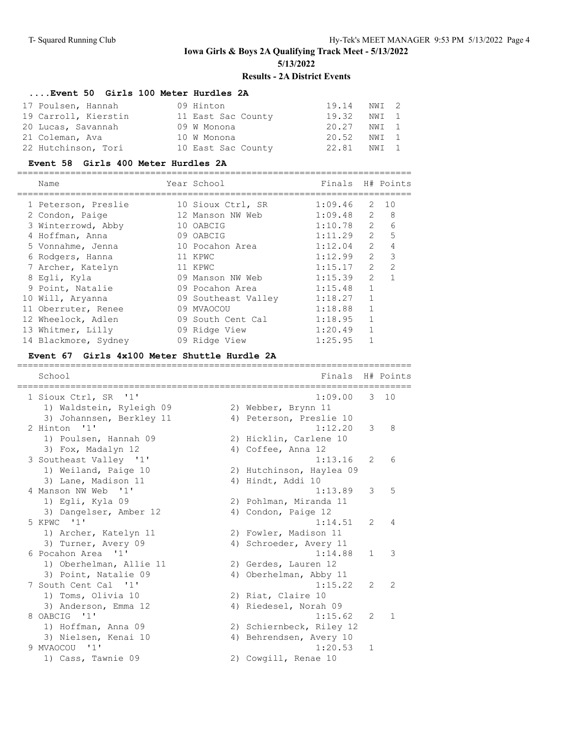# **....Event 50 Girls 100 Meter Hurdles 2A**

| 17 Poulsen, Hannah   | 09 Hinton          | 19.14 | NWI 2 |  |
|----------------------|--------------------|-------|-------|--|
| 19 Carroll, Kierstin | 11 East Sac County | 19.32 | NWI 1 |  |
| 20 Lucas, Savannah   | 09 W Monona        | 20.27 | NWI 1 |  |
| 21 Coleman, Ava      | 10 W Monona        | 20.52 | NWI 1 |  |
| 22 Hutchinson, Tori  | 10 East Sac County | 22.81 | NWI 1 |  |

#### **Event 58 Girls 400 Meter Hurdles 2A**

| Name                 | Year School         | Finals H# Points |               |                |
|----------------------|---------------------|------------------|---------------|----------------|
| 1 Peterson, Preslie  | 10 Sioux Ctrl, SR   | 1:09.46          | 2             | 10             |
| 2 Condon, Paige      | 12 Manson NW Web    | 1:09.48          | $\mathcal{L}$ | 8              |
| 3 Winterrowd, Abby   | 10 OABCIG           | 1:10.78          | $\mathcal{L}$ | 6              |
| 4 Hoffman, Anna      | 09 OABCIG           | 1:11.29          | $\mathcal{L}$ | 5              |
| 5 Vonnahme, Jenna    | 10 Pocahon Area     | 1:12.04          | $\mathcal{L}$ | 4              |
| 6 Rodgers, Hanna     | 11 KPWC             | 1:12.99          | $\mathcal{L}$ | 3              |
| 7 Archer, Katelyn    | 11 KPWC             | 1:15.17          | $\mathcal{P}$ | $\mathfrak{D}$ |
| 8 Eqli, Kyla         | 09 Manson NW Web    | 1:15.39          | $\mathcal{L}$ |                |
| 9 Point, Natalie     | 09 Pocahon Area     | 1:15.48          | $\mathbf{1}$  |                |
| 10 Will, Aryanna     | 09 Southeast Valley | 1:18.27          | $\mathbf{1}$  |                |
| 11 Oberruter, Renee  | 09 MVAOCOU          | 1:18.88          |               |                |
| 12 Wheelock, Adlen   | 09 South Cent Cal   | 1:18.95          |               |                |
| 13 Whitmer, Lilly    | 09 Ridge View       | 1:20.49          |               |                |
| 14 Blackmore, Sydney | 09 Ridge View       | 1:25.95          |               |                |
|                      |                     |                  |               |                |

#### **Event 67 Girls 4x100 Meter Shuttle Hurdle 2A**

| School<br>==================                           | Finals H# Points<br>=========================== |               |               |
|--------------------------------------------------------|-------------------------------------------------|---------------|---------------|
| 1 Sioux Ctrl, SR '1'                                   | $1:09.00$ 3 10                                  |               |               |
| 1) Waldstein, Ryleigh 09                               | 2) Webber, Brynn 11<br>4) Peterson, Preslie 10  |               |               |
| 3) Johannsen, Berkley 11<br>2 Hinton<br>$\mathbf{1}$ 1 | 1:12.20                                         | 3             | 8             |
| 1) Poulsen, Hannah 09                                  | 2) Hicklin, Carlene 10                          |               |               |
| 3) Fox, Madalyn 12                                     | 4) Coffee, Anna 12                              |               |               |
| 3 Southeast Valley '1'                                 | 1:13.16                                         | $\mathcal{L}$ | 6             |
| 1) Weiland, Paige 10                                   | 2) Hutchinson, Haylea 09                        |               |               |
| 3) Lane, Madison 11                                    | 4) Hindt, Addi 10                               |               |               |
| 4 Manson NW Web '1'                                    | 1:13.89                                         | 3             | 5             |
| 1) Eqli, Kyla 09                                       | 2) Pohlman, Miranda 11                          |               |               |
| 3) Dangelser, Amber 12                                 | 4) Condon, Paige 12                             |               |               |
| 5 KPWC '1'                                             | 1:14.51                                         | $\mathcal{L}$ | 4             |
| 1) Archer, Katelyn 11                                  | 2) Fowler, Madison 11                           |               |               |
| 3) Turner, Avery 09                                    | 4) Schroeder, Avery 11                          |               |               |
| 6 Pocahon Area '1'                                     | 1:14.88                                         | $\mathbf{1}$  | $\mathcal{E}$ |
| 1) Oberhelman, Allie 11                                | 2) Gerdes, Lauren 12                            |               |               |
| 3) Point, Natalie 09                                   | 4) Oberhelman, Abby 11                          |               |               |
| 7 South Cent Cal '1'                                   | 1:15.22                                         | $\mathcal{L}$ | $\mathcal{L}$ |
| 1) Toms, Olivia 10                                     | 2) Riat, Claire 10                              |               |               |
| 3) Anderson, Emma 12                                   | 4) Riedesel, Norah 09                           |               |               |
| 8 OABCIG '1'                                           | 1:15.62                                         | 2             | $\mathbf{1}$  |
| 1) Hoffman, Anna 09                                    | 2) Schiernbeck, Riley 12                        |               |               |
| 3) Nielsen, Kenai 10                                   | 4) Behrendsen, Avery 10                         |               |               |
| 9 MVAOCOU '1'                                          | 1:20.53                                         | $\mathbf{1}$  |               |
| 1) Cass, Tawnie 09                                     | 2) Cowgill, Renae 10                            |               |               |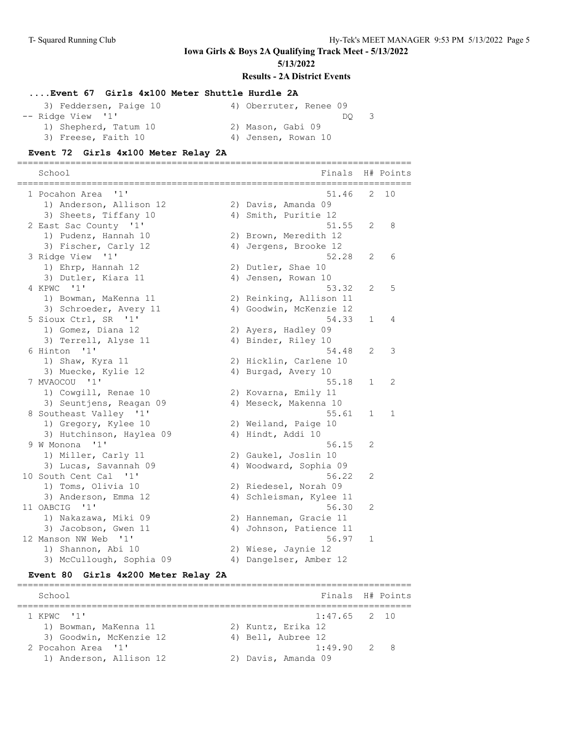**Iowa Girls & Boys 2A Qualifying Track Meet - 5/13/2022**

**5/13/2022**

#### **Results - 2A District Events**

## **....Event 67 Girls 4x100 Meter Shuttle Hurdle 2A**

| 3) Feddersen, Paige 10 | 4) Oberruter, Renee 09 |
|------------------------|------------------------|
| -- Ridge View '1'      | DO.                    |
| 1) Shepherd, Tatum 10  | 2) Mason, Gabi 09      |
| 3) Freese, Faith 10    | 4) Jensen, Rowan 10    |

#### **Event 72 Girls 4x100 Meter Relay 2A**

==========================================================================

| School<br>=========================== | Finals                  |              | H# Points |
|---------------------------------------|-------------------------|--------------|-----------|
| 1 Pocahon Area '1'                    | 51.46                   | 2            | 10        |
| 1) Anderson, Allison 12               | 2) Davis, Amanda 09     |              |           |
| 3) Sheets, Tiffany 10                 | 4) Smith, Puritie 12    |              |           |
| 2 East Sac County '1'                 | 51.55                   | 2            | 8         |
| 1) Pudenz, Hannah 10                  | 2) Brown, Meredith 12   |              |           |
| 3) Fischer, Carly 12                  | 4) Jergens, Brooke 12   |              |           |
| 3 Ridge View '1'                      | 52.28                   | 2            | 6         |
| 1) Ehrp, Hannah 12                    | 2) Dutler, Shae 10      |              |           |
| 3) Dutler, Kiara 11                   | 4) Jensen, Rowan 10     |              |           |
| 4 KPWC '1'                            | 53.32                   | 2            | 5         |
| 1) Bowman, MaKenna 11                 | 2) Reinking, Allison 11 |              |           |
| 3) Schroeder, Avery 11                | 4) Goodwin, McKenzie 12 |              |           |
| 5 Sioux Ctrl, SR '1'                  | 54.33                   | $\mathbf{1}$ | 4         |
| 1) Gomez, Diana 12                    | 2) Ayers, Hadley 09     |              |           |
| 3) Terrell, Alyse 11                  | 4) Binder, Riley 10     |              |           |
| 6 Hinton '1'                          | 54.48                   | 2            | 3         |
| 1) Shaw, Kyra 11                      | 2) Hicklin, Carlene 10  |              |           |
| 3) Muecke, Kylie 12                   | 4) Burgad, Avery 10     |              |           |
| 7 MVAOCOU '1'                         | 55.18                   | $\mathbf{1}$ | 2         |
| 1) Cowgill, Renae 10                  | 2) Kovarna, Emily 11    |              |           |
| 3) Seuntjens, Reagan 09               | 4) Meseck, Makenna 10   |              |           |
| 8 Southeast Valley '1'                | 55.61                   | $\mathbf 1$  | 1         |
| 1) Gregory, Kylee 10                  | 2) Weiland, Paige 10    |              |           |
| 3) Hutchinson, Haylea 09              | 4) Hindt, Addi 10       |              |           |
| 9 W Monona<br>'1'                     | 56.15                   | 2            |           |
| 1) Miller, Carly 11                   | 2) Gaukel, Joslin 10    |              |           |
| 3) Lucas, Savannah 09                 | 4) Woodward, Sophia 09  |              |           |
| 10 South Cent Cal<br>$\blacksquare$   | 56.22                   | 2            |           |
| 1) Toms, Olivia 10                    | 2) Riedesel, Norah 09   |              |           |
| 3) Anderson, Emma 12                  | 4) Schleisman, Kylee 11 |              |           |
| 11 OABCIG '1'                         | 56.30                   | 2            |           |
| 1) Nakazawa, Miki 09                  | 2) Hanneman, Gracie 11  |              |           |
| 3) Jacobson, Gwen 11                  | 4) Johnson, Patience 11 |              |           |
| 12 Manson NW Web<br>$\blacksquare$    | 56.97                   | $\mathbf{1}$ |           |
| 1) Shannon, Abi 10                    | 2) Wiese, Jaynie 12     |              |           |
| 3) McCullough, Sophia 09              | 4) Dangelser, Amber 12  |              |           |

## **Event 80 Girls 4x200 Meter Relay 2A**

| School                  |                     | Finals H# Points |  |
|-------------------------|---------------------|------------------|--|
| 1 KPWC '1'              |                     | $1:47.65$ 2 10   |  |
| 1) Bowman, MaKenna 11   | 2) Kuntz, Erika 12  |                  |  |
| 3) Goodwin, McKenzie 12 | 4) Bell, Aubree 12  |                  |  |
| 2 Pocahon Area '1'      |                     | 1:49.90 2 8      |  |
| 1) Anderson, Allison 12 | 2) Davis, Amanda 09 |                  |  |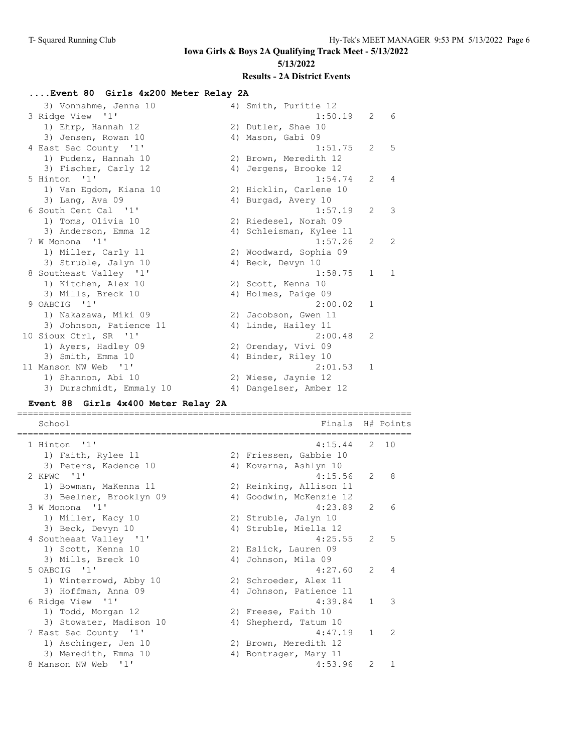# **Iowa Girls & Boys 2A Qualifying Track Meet - 5/13/2022 5/13/2022**

# **Results - 2A District Events**

# **....Event 80 Girls 4x200 Meter Relay 2A**

| 3) Vonnahme, Jenna 10    | 4) Smith, Puritie 12    |                |                |
|--------------------------|-------------------------|----------------|----------------|
| 3 Ridge View '1'         | 1:50.19                 | 2              | 6              |
| 1) Ehrp, Hannah 12       | 2) Dutler, Shae 10      |                |                |
| 3) Jensen, Rowan 10      | 4) Mason, Gabi 09       |                |                |
| 4 East Sac County '1'    | 1:51.75                 | $\mathfrak{L}$ | 5              |
| 1) Pudenz, Hannah 10     | 2) Brown, Meredith 12   |                |                |
| 3) Fischer, Carly 12     | 4) Jergens, Brooke 12   |                |                |
| 5 Hinton<br>$\cdot$ 1 1  | 1:54.74                 | $\mathfrak{L}$ | $\overline{4}$ |
| 1) Van Eqdom, Kiana 10   | 2) Hicklin, Carlene 10  |                |                |
| 3) Lang, Ava 09          | 4) Burgad, Avery 10     |                |                |
| 6 South Cent Cal '1'     | 1:57.19                 | $\overline{2}$ | 3              |
| 1) Toms, Olivia 10       | 2) Riedesel, Norah 09   |                |                |
| 3) Anderson, Emma 12     | 4) Schleisman, Kylee 11 |                |                |
| 7 W Monona<br>$\cdots$   | 1:57.26                 | $\mathfrak{L}$ | 2              |
| 1) Miller, Carly 11      | 2) Woodward, Sophia 09  |                |                |
| 3) Struble, Jalyn 10     | 4) Beck, Devyn 10       |                |                |
| 8 Southeast Valley '1'   | 1:58.75                 | $\mathbf{1}$   | $\mathbf{1}$   |
| 1) Kitchen, Alex 10      | 2) Scott, Kenna 10      |                |                |
| 3) Mills, Breck 10       | 4) Holmes, Paige 09     |                |                |
| 9 OABCIG '1'             | 2:00.02                 | $\mathbf{1}$   |                |
| 1) Nakazawa, Miki 09     | 2) Jacobson, Gwen 11    |                |                |
| 3) Johnson, Patience 11  | 4) Linde, Hailey 11     |                |                |
| 10 Sioux Ctrl, SR '1'    | 2:00.48                 | 2              |                |
| 1) Ayers, Hadley 09      | 2) Orenday, Vivi 09     |                |                |
| 3) Smith, Emma 10        | 4) Binder, Riley 10     |                |                |
| 11 Manson NW Web '1'     | 2:01.53                 | 1              |                |
| 1) Shannon, Abi 10       | 2) Wiese, Jaynie 12     |                |                |
| 3) Durschmidt, Emmaly 10 | 4) Dangelser, Amber 12  |                |                |
|                          |                         |                |                |

## **Event 88 Girls 4x400 Meter Relay 2A**

| School                  |    | Finals                  |               | H# Points                |
|-------------------------|----|-------------------------|---------------|--------------------------|
| 1 Hinton '1'            |    | $4:15.44$ 2 10          |               |                          |
| 1) Faith, Rylee 11      |    | 2) Friessen, Gabbie 10  |               |                          |
| 3) Peters, Kadence 10   |    | 4) Kovarna, Ashlyn 10   |               |                          |
| 2 KPWC '1'              |    | 4:15.56                 | 2             | - 8                      |
| 1) Bowman, MaKenna 11   |    | 2) Reinking, Allison 11 |               |                          |
| 3) Beelner, Brooklyn 09 |    | 4) Goodwin, McKenzie 12 |               |                          |
| 3 W Monona '1'          |    | 4:23.89                 | $\mathcal{L}$ | 6                        |
| 1) Miller, Kacy 10      |    | 2) Struble, Jalyn 10    |               |                          |
| 3) Beck, Devyn 10       |    | 4) Struble, Miella 12   |               |                          |
| 4 Southeast Valley '1'  |    | 4:25.55                 | $\mathcal{L}$ | $5\overline{5}$          |
| 1) Scott, Kenna 10      |    | 2) Eslick, Lauren 09    |               |                          |
| 3) Mills, Breck 10      |    | 4) Johnson, Mila 09     |               |                          |
| 5 OABCIG '1'            |    | 4:27.60                 | $\mathcal{L}$ | $\overline{4}$           |
| 1) Winterrowd, Abby 10  |    | 2) Schroeder, Alex 11   |               |                          |
| 3) Hoffman, Anna 09     | 4) | Johnson, Patience 11    |               |                          |
| 6 Ridge View '1'        |    | 4:39.84                 | $\mathbf{1}$  | $\overline{\phantom{a}}$ |
| 1) Todd, Morgan 12      |    | 2) Freese, Faith 10     |               |                          |
| 3) Stowater, Madison 10 |    | 4) Shepherd, Tatum 10   |               |                          |
| 7 East Sac County '1'   |    | 4:47.19                 | $\mathbf{1}$  | $\overline{2}$           |
| 1) Aschinger, Jen 10    |    | 2) Brown, Meredith 12   |               |                          |
| 3) Meredith, Emma 10    |    | 4) Bontrager, Mary 11   |               |                          |
| 8 Manson NW Web '1'     |    | 4:53.96                 | 2             |                          |
|                         |    |                         |               |                          |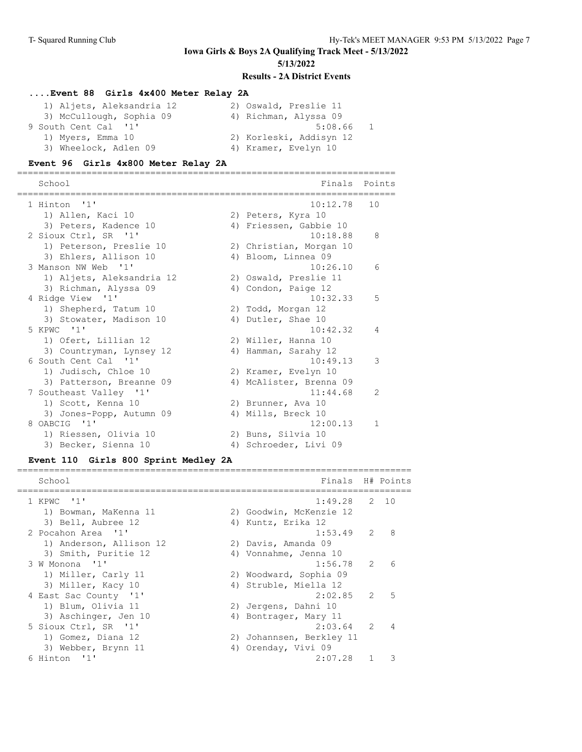## **....Event 88 Girls 4x400 Meter Relay 2A**

| 1) Aljets, Aleksandria 12 | 2) Oswald, Preslie 11   |
|---------------------------|-------------------------|
| 3) McCullough, Sophia 09  | 4) Richman, Alyssa 09   |
| 9 South Cent Cal '1'      | 5:08.66                 |
| 1) Myers, Emma 10         | 2) Korleski, Addisyn 12 |
| 3) Wheelock, Adlen 09     | 4) Kramer, Evelyn 10    |

#### **Event 96 Girls 4x800 Meter Relay 2A**

======================================================================= School **Finals** Points =======================================================================

| 1 Hinton '1'              | 10:12.78                | 10            |
|---------------------------|-------------------------|---------------|
| 1) Allen, Kaci 10         | 2) Peters, Kyra 10      |               |
| 3) Peters, Kadence 10     | 4) Friessen, Gabbie 10  |               |
| 2 Sioux Ctrl, SR '1'      | 10:18.88                | 8             |
| 1) Peterson, Preslie 10   | 2) Christian, Morgan 10 |               |
| 3) Ehlers, Allison 10     | 4) Bloom, Linnea 09     |               |
| 3 Manson NW Web '1'       | 10:26.10                | 6             |
| 1) Aljets, Aleksandria 12 | 2) Oswald, Preslie 11   |               |
| 3) Richman, Alyssa 09     | 4) Condon, Paige 12     |               |
| 4 Ridge View '1'          | 10:32.33                | 5             |
| 1) Shepherd, Tatum 10     | 2) Todd, Morgan 12      |               |
| 3) Stowater, Madison 10   | 4) Dutler, Shae 10      |               |
| 5 KPWC '1'                | 10:42.32                | 4             |
| 1) Ofert, Lillian 12      | 2) Willer, Hanna 10     |               |
| 3) Countryman, Lynsey 12  | 4) Hamman, Sarahy 12    |               |
| 6 South Cent Cal '1'      | 10:49.13                | 3             |
| 1) Judisch, Chloe 10      | 2) Kramer, Evelyn 10    |               |
| 3) Patterson, Breanne 09  | 4) McAlister, Brenna 09 |               |
| 7 Southeast Valley '1'    | 11:44.68                | $\mathcal{L}$ |
| 1) Scott, Kenna 10        | 2) Brunner, Ava 10      |               |
| 3) Jones-Popp, Autumn 09  | 4) Mills, Breck 10      |               |
| 8 OABCIG '1'              | 12:00.13                | $\mathbf{1}$  |
| 1) Riessen, Olivia 10     | 2) Buns, Silvia 10      |               |
| 3) Becker, Sienna 10      | 4) Schroeder, Livi 09   |               |

#### **Event 110 Girls 800 Sprint Medley 2A**

| School                  |    | Finals H# Points         |               |                |
|-------------------------|----|--------------------------|---------------|----------------|
| 1 KPWC '1'              |    | 1:49.28                  |               | 2, 10          |
| 1) Bowman, MaKenna 11   |    | 2) Goodwin, McKenzie 12  |               |                |
| 3) Bell, Aubree 12      |    | 4) Kuntz, Erika 12       |               |                |
| 2 Pocahon Area '1'      |    | 1:53.49                  | 2             | 8              |
| 1) Anderson, Allison 12 |    | 2) Davis, Amanda 09      |               |                |
| 3) Smith, Puritie 12    |    | 4) Vonnahme, Jenna 10    |               |                |
| 3 W Monona '1'          |    | 1:56.78                  | $\mathcal{L}$ | 6              |
| 1) Miller, Carly 11     |    | 2) Woodward, Sophia 09   |               |                |
| 3) Miller, Kacy 10      |    | 4) Struble, Miella 12    |               |                |
| 4 East Sac County '1'   |    | 2:02.85                  | $\mathcal{L}$ | 5              |
| 1) Blum, Olivia 11      |    | 2) Jergens, Dahni 10     |               |                |
| 3) Aschinger, Jen 10    |    | 4) Bontrager, Mary 11    |               |                |
| 5 Sioux Ctrl, SR '1'    |    | 2:03.64                  | $\mathcal{L}$ | $\overline{4}$ |
| 1) Gomez, Diana 12      |    | 2) Johannsen, Berkley 11 |               |                |
| 3) Webber, Brynn 11     | 4) | Orenday, Vivi 09         |               |                |
| 6 Hinton '1'            |    | 2:07.28                  |               |                |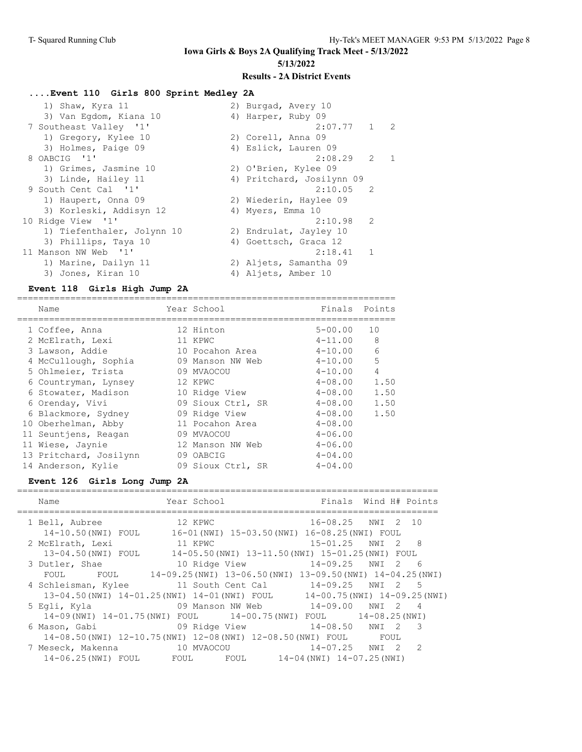# **....Event 110 Girls 800 Sprint Medley 2A**

| 1) Shaw, Kyra 11           | 2) Burgad, Avery 10       |            |
|----------------------------|---------------------------|------------|
| 3) Van Eqdom, Kiana 10     | 4) Harper, Ruby 09        |            |
| 7 Southeast Valley '1'     | $2:07.77$ 1 2             |            |
| 1) Gregory, Kylee 10       | 2) Corell, Anna 09        |            |
| 3) Holmes, Paige 09        | 4) Eslick, Lauren 09      |            |
| 8 OABCIG '1'               | $2:08.29$ 2               | $\sqrt{1}$ |
| 1) Grimes, Jasmine 10      | 2) O'Brien, Kylee 09      |            |
| 3) Linde, Hailey 11        | 4) Pritchard, Josilynn 09 |            |
| 9 South Cent Cal '1'       | $2:10.05$ 2               |            |
| 1) Haupert, Onna 09        | 2) Wiederin, Haylee 09    |            |
| 3) Korleski, Addisyn 12    | 4) Myers, Emma 10         |            |
| 10 Ridge View '1'          | $2:10.98$ 2               |            |
| 1) Tiefenthaler, Jolynn 10 | 2) Endrulat, Jayley 10    |            |
| 3) Phillips, Taya 10       | 4) Goettsch, Graca 12     |            |
| 11 Manson NW Web '1'       | $2:18.41$ 1               |            |
| 1) Marine, Dailyn 11       | 2) Aljets, Samantha 09    |            |
| 3) Jones, Kiran 10         | 4) Aljets, Amber 10       |            |

#### **Event 118 Girls High Jump 2A**

| Name                   | Year School       | Finals Points |      |
|------------------------|-------------------|---------------|------|
| 1 Coffee, Anna         | 12 Hinton         | $5 - 00.00$   | 10   |
| 2 McElrath, Lexi       | 11 KPWC           | $4 - 11.00$   | 8    |
| 3 Lawson, Addie        | 10 Pocahon Area   | $4 - 10.00$   | 6    |
| 4 McCullough, Sophia   | 09 Manson NW Web  | $4 - 10.00$   | 5    |
| 5 Ohlmeier, Trista     | 09 MVAOCOU        | $4 - 10.00$   | 4    |
| 6 Countryman, Lynsey   | 12 KPWC           | $4 - 08.00$   | 1.50 |
| 6 Stowater, Madison    | 10 Ridge View     | 4-08.00       | 1.50 |
| 6 Orenday, Vivi        | 09 Sioux Ctrl, SR | $4 - 08.00$   | 1.50 |
| 6 Blackmore, Sydney    | 09 Ridge View     | $4 - 08.00$   | 1.50 |
| 10 Oberhelman, Abby    | 11 Pocahon Area   | $4 - 08.00$   |      |
| 11 Seuntjens, Reagan   | 09 MVAOCOU        | $4 - 06.00$   |      |
| 11 Wiese, Jaynie       | 12 Manson NW Web  | $4 - 06.00$   |      |
| 13 Pritchard, Josilynn | 09 OABCIG         | $4 - 04.00$   |      |
| 14 Anderson, Kylie     | 09 Sioux Ctrl, SR | $4 - 04.00$   |      |

## **Event 126 Girls Long Jump 2A**

| Name                                                                  | Year School      | Finals                                                         | Wind H# Points                    |  |
|-----------------------------------------------------------------------|------------------|----------------------------------------------------------------|-----------------------------------|--|
| 1 Bell, Aubree                                                        | 12 KPWC          | 16-08.25 NWI                                                   | 2 10                              |  |
| 14-10.50(NWI) FOUL 16-01(NWI) 15-03.50(NWI) 16-08.25(NWI) FOUL        |                  |                                                                |                                   |  |
| 2 McElrath, Lexi                                                      | 11 KPWC          | 15-01.25 NWI 2 8                                               |                                   |  |
| 13-04.50 (NWI) FOUL                                                   |                  | 14-05.50(NWI) 13-11.50(NWI) 15-01.25(NWI) FOUL                 |                                   |  |
| 3 Dutler, Shae                                                        | 10 Ridge View    | $14 - 09.25$ NWI 2 6                                           |                                   |  |
| FOUL FOUL 14-09.25 (NWI) 13-06.50 (NWI) 13-09.50 (NWI) 14-04.25 (NWI) |                  |                                                                |                                   |  |
| 4 Schleisman, Kylee 11 South Cent Cal                                 |                  |                                                                | 14-09.25 NWI 2 5                  |  |
| 13-04.50(NWI) 14-01.25(NWI) 14-01(NWI) FOUL                           |                  |                                                                | $14-00.75$ (NWI) $14-09.25$ (NWI) |  |
| 5 Eqli, Kyla                                                          | 09 Manson NW Web | 14-09.00 NWI 2                                                 | 4                                 |  |
| 14-09(NWI) 14-01.75(NWI) FOUL 14-00.75(NWI) FOUL 14-08.25(NWI)        |                  |                                                                |                                   |  |
| 6 Mason, Gabi                                                         |                  | 09 Ridge View                           14-08.50     NWI   2   | $\overline{\phantom{a}}$          |  |
|                                                                       |                  | 14-08.50(NWI) 12-10.75(NWI) 12-08(NWI) 12-08.50(NWI) FOUL FOUL |                                   |  |
| 7 Meseck, Makenna                                                     | 10 MVAOCOU       | $14 - 07.25$ NWI                                               | 2<br>$\overline{2}$               |  |
| 14-06.25 (NWI) FOUL FOUL                                              |                  | FOUL 14-04 (NWI) 14-07.25 (NWI)                                |                                   |  |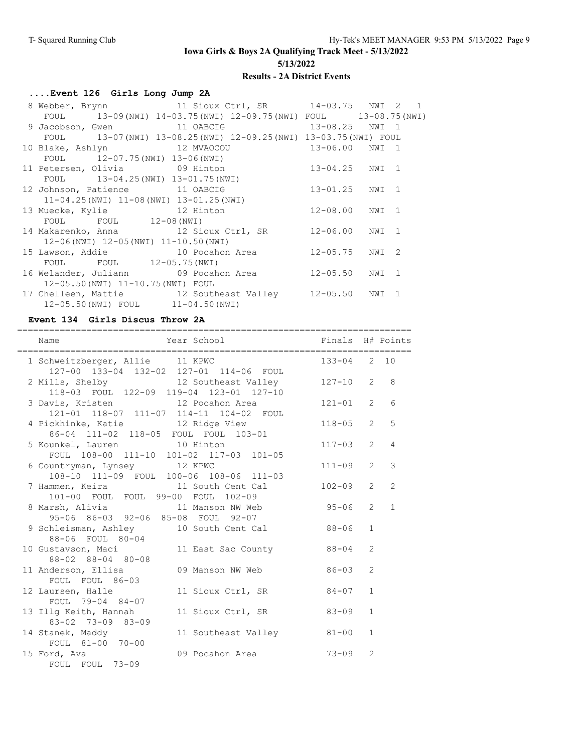# **....Event 126 Girls Long Jump 2A**

|                                                 | 8 Webber, Brynn 11 Sioux Ctrl, SR 14-03.75 NWI 2 1                 |                |  |
|-------------------------------------------------|--------------------------------------------------------------------|----------------|--|
|                                                 | FOUL 13-09 (NWI) 14-03.75 (NWI) 12-09.75 (NWI) FOUL 13-08.75 (NWI) |                |  |
| 9 Jacobson, Gwen 11 OABCIG                      | 13-08.25 NWI 1                                                     |                |  |
|                                                 | FOUL 13-07 (NWI) 13-08.25 (NWI) 12-09.25 (NWI) 13-03.75 (NWI) FOUL |                |  |
| 10 Blake, Ashlyn 12 MVAOCOU                     | 13-06.00 NWI 1                                                     |                |  |
| FOUL 12-07.75 (NWI) 13-06 (NWI)                 |                                                                    |                |  |
|                                                 | 11 Petersen, Olivia 69 Hinton 13-04.25 NWI 1                       |                |  |
| FOUL 13-04.25 (NWI) 13-01.75 (NWI)              |                                                                    |                |  |
| 12 Johnson, Patience 11 OABCIG                  |                                                                    | 13-01.25 NWI 1 |  |
| $11-04.25$ (NWI) $11-08$ (NWI) $13-01.25$ (NWI) |                                                                    |                |  |
|                                                 | 13 Muecke, Kylie 12 Hinton                                         | 12-08.00 NWI 1 |  |
| FOUL FOUL 12-08 (NWI)                           |                                                                    |                |  |
|                                                 | 14 Makarenko, Anna 12 Sioux Ctrl, SR 12-06.00 NWI 1                |                |  |
| $12-06$ (NWI) $12-05$ (NWI) $11-10.50$ (NWI)    |                                                                    |                |  |
|                                                 | 15 Lawson, Addie 10 Pocahon Area 12-05.75 NWI 2                    |                |  |
| FOUL FOUL 12-05.75 (NWI)                        |                                                                    |                |  |
|                                                 | 16 Welander, Juliann (09 Pocahon Area (12-05.50 NWI 1)             |                |  |
| 12-05.50 (NWI) 11-10.75 (NWI) FOUL              |                                                                    |                |  |
|                                                 | 17 Chelleen, Mattie $12$ Southeast Valley $12-05.50$ NWI 1         |                |  |
| 12-05.50(NWI) FOUL 11-04.50(NWI)                |                                                                    |                |  |

## **Event 134 Girls Discus Throw 2A**

| Year School <a> Finals H# Points</a><br>Name                                   |              |                |                               |
|--------------------------------------------------------------------------------|--------------|----------------|-------------------------------|
| 1 Schweitzberger, Allie 11 KPWC<br>127-00 133-04 132-02 127-01 114-06 FOUL     | 133-04 2 10  |                |                               |
| 2 Mills, Shelby 12 Southeast Valley<br>118-03 FOUL 122-09 119-04 123-01 127-10 | $127 - 10$ 2 |                | 8                             |
| 3 Davis, Kristen 12 Pocahon Area<br>121-01 118-07 111-07 114-11 104-02 FOUL    | $121 - 01$ 2 |                | 6                             |
| 4 Pickhinke, Katie 12 Ridge View<br>86-04 111-02 118-05 FOUL FOUL 103-01       | $118 - 05$ 2 |                | 5                             |
| 5 Kounkel, Lauren<br>FOUL 108-00 111-10 101-02 117-03 101-05                   | $117 - 03$   |                | $2^{\circ}$<br>$\overline{4}$ |
| 6 Countryman, Lynsey 12 KPWC<br>108-10 111-09 FOUL 100-06 108-06 111-03        | $111 - 09$   | $\overline{2}$ | 3                             |
| 7 Hammen, Keira and 11 South Cent Cal<br>101-00 FOUL FOUL 99-00 FOUL 102-09    | $102 - 09$ 2 |                | $\mathcal{L}$                 |
| 8 Marsh, Alivia 11 Manson NW Web<br>95-06 86-03 92-06 85-08 FOUL 92-07         | $95 - 06$ 2  |                | $\mathbf{1}$                  |
| 9 Schleisman, Ashley 10 South Cent Cal<br>88-06 FOUL 80-04                     | $88 - 06$    | $\mathbf{1}$   |                               |
| 10 Gustavson, Maci 11 East Sac County<br>88-02 88-04 80-08                     | $88 - 04$    | $\overline{2}$ |                               |
| 11 Anderson, Ellisa 69 Manson NW Web 86-03<br>FOUL FOUL 86-03                  |              | $\overline{2}$ |                               |
| 12 Laursen, Halle<br>11 Sioux Ctrl, SR 84-07<br>FOUL 79-04 84-07               |              | $\mathbf{1}$   |                               |
| 11 Sioux Ctrl, SR 83-09<br>13 Illg Keith, Hannah<br>83-02 73-09 83-09          |              | $\mathbf{1}$   |                               |
| 11 Southeast Valley 81-00<br>14 Stanek, Maddy<br>FOUL 81-00 70-00              |              | $\mathbf{1}$   |                               |
| 09 Pocahon Area 73-09<br>15 Ford, Ava<br>FOUL FOUL 73-09                       |              | $\overline{2}$ |                               |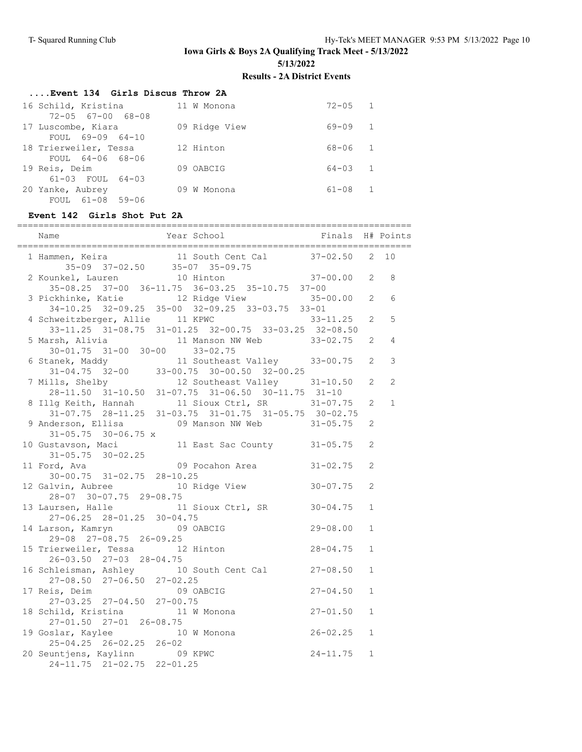**Iowa Girls & Boys 2A Qualifying Track Meet - 5/13/2022**

**5/13/2022**

## **Results - 2A District Events**

| Event 134 Girls Discus Throw 2A |               |             |                |  |  |  |
|---------------------------------|---------------|-------------|----------------|--|--|--|
| 16 Schild, Kristina             | 11 W Monona   | $72 - 05$ 1 |                |  |  |  |
| $72 - 05$ $67 - 00$ $68 - 08$   |               |             |                |  |  |  |
| 17 Luscombe, Kiara              | 09 Ridge View | $69 - 09$ 1 |                |  |  |  |
| FOUL 69-09 64-10                |               |             |                |  |  |  |
| 18 Trierweiler, Tessa           | 12 Hinton     | 68-06       | $\overline{1}$ |  |  |  |
| FOUL 64-06 68-06                |               |             |                |  |  |  |
| 19 Reis, Deim                   | 09 OABCIG     | $64 - 03$ 1 |                |  |  |  |
| 61-03 FOUL 64-03                |               |             |                |  |  |  |
| 20 Yanke, Aubrey                | 09 W Monona   | $61 - 08$   | $\overline{1}$ |  |  |  |
| FOUL 61-08 59-06                |               |             |                |  |  |  |

## **Event 142 Girls Shot Put 2A**

| 1 Hammen, Keira 11 South Cent Cal 37-02.50 2 10<br>35-09 37-02.50 35-07 35-09.75<br>2 Kounkel, Lauren 10 Hinton 37-00.00 2 8                             |                                                             |              |              |              |
|----------------------------------------------------------------------------------------------------------------------------------------------------------|-------------------------------------------------------------|--------------|--------------|--------------|
|                                                                                                                                                          |                                                             |              |              |              |
| 3 Pickhinke, Katie 12 Ridge View 35-00.00 2                                                                                                              | $35-08.25$ $37-00$ $36-11.75$ $36-03.25$ $35-10.75$ $37-00$ |              |              | 6            |
|                                                                                                                                                          | 34-10.25 32-09.25 35-00 32-09.25 33-03.75 33-01             |              |              |              |
| 4 Schweitzberger, Allie 11 KPWC 33-11.25 2                                                                                                               |                                                             |              |              | 5            |
|                                                                                                                                                          | 33-11.25 31-08.75 31-01.25 32-00.75 33-03.25 32-08.50       |              |              |              |
|                                                                                                                                                          |                                                             |              |              | 4            |
| 5 Marsh, Alivia 11 Manson NW Web 33-02.75 2<br>30-01.75 31-00 30-00 33-02.75                                                                             |                                                             |              |              |              |
| 6 Stanek, Maddy<br>31-04.75 32-00 33-00.75 30-00.50 32-00.25<br>7 Mills, Shelby<br>28-11.50 31-10.50 31-07.75 31-06.50 30-11.75 31-10                    |                                                             |              |              | $\mathsf 3$  |
|                                                                                                                                                          |                                                             |              |              |              |
|                                                                                                                                                          |                                                             |              |              | 2            |
|                                                                                                                                                          |                                                             |              |              |              |
| 8 Illg Keith, Hannah 11 Sioux Ctrl, SR 31-07.75<br>31-07.75 28-11.25 31-03.75 31-01.75 31-05.75 30-02.75<br>9 Anderson, Ellisa 09 Manson NW Web 31-05.75 |                                                             |              | 2            | $\mathbf{1}$ |
|                                                                                                                                                          |                                                             |              |              |              |
|                                                                                                                                                          |                                                             |              | 2            |              |
| $31 - 05.75$ 30-06.75 x                                                                                                                                  |                                                             |              |              |              |
| 10 Gustavson, Maci 11 East Sac County 31-05.75<br>$31-05.75$ $30-02.25$<br>11 Ford, Ava $09$ Pocahon Area $31-02.75$                                     |                                                             |              | 2            |              |
|                                                                                                                                                          |                                                             |              | 2            |              |
| 30-00.75 31-02.75 28-10.25                                                                                                                               |                                                             |              |              |              |
| 12 Galvin, Aubree 10 Ridge View 30-07.75<br>28-07 30-07.75 29-08.75                                                                                      |                                                             |              | 2            |              |
| 13 Laursen, Halle 11 Sioux Ctrl, SR 30-04.75                                                                                                             |                                                             |              | $\mathbf{1}$ |              |
| 27-06.25 28-01.25 30-04.75                                                                                                                               |                                                             |              |              |              |
| 14 Larson, Kamryn 69 OABCIG 29-08.00                                                                                                                     |                                                             |              | $\mathbf{1}$ |              |
| 29-08 27-08.75 26-09.25                                                                                                                                  |                                                             |              |              |              |
| $25 \text{ vo } 27 - 00.75 = 20 - 09.25$<br>15 Trierweiler, Tessa (12 Hinton)<br>26-03:50 27-03 29:04:75                                                 |                                                             | $28 - 04.75$ | $\mathbf{1}$ |              |
| $26 - 03.50$ $27 - 03$ $28 - 04.75$                                                                                                                      |                                                             |              |              |              |
| 16 Schleisman, Ashley 10 South Cent Cal 27-08.50                                                                                                         |                                                             |              | $\mathbf{1}$ |              |
| 27-08.50 27-06.50 27-02.25<br>17 Reis, Deim 09 OABCIG<br>27-03.25 27-04.50 27-00.75                                                                      |                                                             |              |              |              |
|                                                                                                                                                          |                                                             | $27 - 04.50$ | $\mathbf{1}$ |              |
|                                                                                                                                                          |                                                             |              |              |              |
| 18 Schild, Kristina 11 W Monona 27-01.50<br>27-01.50 27-01 26-08.75<br>19 Goslar, Kaylee 10 W Monona 26-02.25                                            |                                                             |              | $\mathbf{1}$ |              |
|                                                                                                                                                          |                                                             |              |              |              |
|                                                                                                                                                          |                                                             |              | $\mathbf{1}$ |              |
| $25 - 04.25$ $26 - 02.25$ $26 - 02$                                                                                                                      |                                                             |              |              |              |
| 20 Seuntjens, Kaylinn 09 KPWC                                                                                                                            |                                                             | $24 - 11.75$ | $\mathbf{1}$ |              |
| 24-11.75 21-02.75 22-01.25                                                                                                                               |                                                             |              |              |              |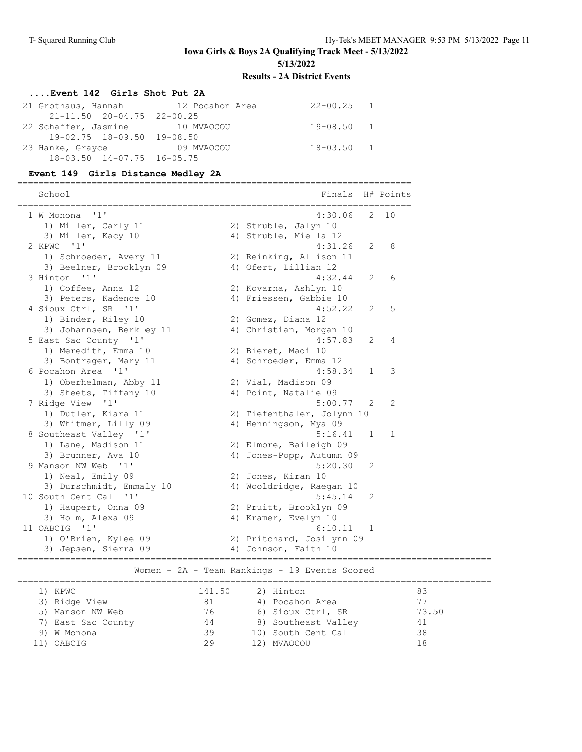## **....Event 142 Girls Shot Put 2A**

| 21 Grothaus, Hannah 12 Pocahon Area    | $22 - 00.25$ 1 |  |
|----------------------------------------|----------------|--|
| $21 - 11.50$ $20 - 04.75$ $22 - 00.25$ |                |  |
| 22 Schaffer, Jasmine 10 MVAOCOU        | 19-08.50 1     |  |
| 19-02.75 18-09.50 19-08.50             |                |  |
| 23 Hanke, Grayce 69 MVAOCOU            | $18 - 03.50$ 1 |  |
| $18 - 03.50$ $14 - 07.75$ $16 - 05.75$ |                |  |

## **Event 149 Girls Distance Medley 2A**

==========================================================================

| School                   |        | Finals                                        |   | H# Points |       |
|--------------------------|--------|-----------------------------------------------|---|-----------|-------|
| 11'<br>1 W Monona        |        | 4:30.06                                       | 2 | 10        |       |
| 1) Miller, Carly 11      |        | 2) Struble, Jalyn 10                          |   |           |       |
| 3) Miller, Kacy 10       |        | 4) Struble, Miella 12                         |   |           |       |
| 2 KPWC '1'               |        | 4:31.26                                       | 2 | 8         |       |
| 1) Schroeder, Avery 11   |        | 2) Reinking, Allison 11                       |   |           |       |
| 3) Beelner, Brooklyn 09  |        | 4) Ofert, Lillian 12                          |   |           |       |
| 3 Hinton '1'             |        | 4:32.44                                       | 2 | 6         |       |
| 1) Coffee, Anna 12       |        | 2) Kovarna, Ashlyn 10                         |   |           |       |
| 3) Peters, Kadence 10    |        | 4) Friessen, Gabbie 10                        |   |           |       |
| 4 Sioux Ctrl, SR '1'     |        | 4:52.22                                       | 2 | 5         |       |
| 1) Binder, Riley 10      |        | 2) Gomez, Diana 12                            |   |           |       |
| 3) Johannsen, Berkley 11 |        | 4) Christian, Morgan 10                       |   |           |       |
| 5 East Sac County '1'    |        | 4:57.83                                       | 2 | 4         |       |
| 1) Meredith, Emma 10     |        | 2) Bieret, Madi 10                            |   |           |       |
| 3) Bontrager, Mary 11    |        | 4) Schroeder, Emma 12                         |   |           |       |
| 6 Pocahon Area '1'       |        | 4:58.34                                       | 1 | 3         |       |
| 1) Oberhelman, Abby 11   |        | 2) Vial, Madison 09                           |   |           |       |
| 3) Sheets, Tiffany 10    |        | 4) Point, Natalie 09                          |   |           |       |
| 7 Ridge View '1'         |        | 5:00.77                                       | 2 | 2         |       |
| 1) Dutler, Kiara 11      |        | 2) Tiefenthaler, Jolynn 10                    |   |           |       |
| 3) Whitmer, Lilly 09     |        | 4) Henningson, Mya 09                         |   |           |       |
| 8 Southeast Valley '1'   |        | 5:16.41                                       | 1 | 1         |       |
| 1) Lane, Madison 11      |        | 2) Elmore, Baileigh 09                        |   |           |       |
| 3) Brunner, Ava 10       |        | 4) Jones-Popp, Autumn 09                      |   |           |       |
| 9 Manson NW Web '1'      |        | 5:20.30                                       | 2 |           |       |
| 1) Neal, Emily 09        |        | 2) Jones, Kiran 10                            |   |           |       |
| 3) Durschmidt, Emmaly 10 |        | 4) Wooldridge, Raegan 10                      |   |           |       |
| 10 South Cent Cal '1'    |        | 5:45.14                                       | 2 |           |       |
| 1) Haupert, Onna 09      |        | 2) Pruitt, Brooklyn 09                        |   |           |       |
| 3) Holm, Alexa 09        |        | 4) Kramer, Evelyn 10                          |   |           |       |
| 11 OABCIG '1'            |        | 6:10.11                                       | 1 |           |       |
| 1) O'Brien, Kylee 09     |        | 2) Pritchard, Josilynn 09                     |   |           |       |
| 3) Jepsen, Sierra 09     |        | 4) Johnson, Faith 10                          |   |           |       |
|                          |        | Women - 2A - Team Rankings - 19 Events Scored |   |           |       |
| 1) KPWC                  | 141.50 | 2) Hinton                                     |   |           | 83    |
| 3) Ridge View            | 81     | 4) Pocahon Area                               |   |           | 77    |
| 5) Manson NW Web         | 76     | 6) Sioux Ctrl, SR                             |   |           | 73.50 |
| 7) East Sac County       | 44     | 8) Southeast Valley                           |   |           | 41    |
|                          |        |                                               |   |           |       |

 9) W Monona 39 10) South Cent Cal 38 11) OABCIG 29 12) MVAOCOU 18